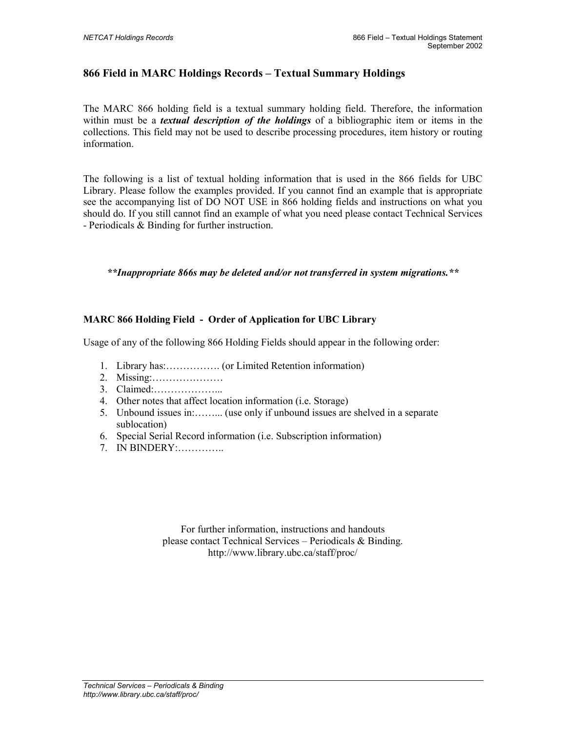## **866 Field in MARC Holdings Records – Textual Summary Holdings**

The MARC 866 holding field is a textual summary holding field. Therefore, the information within must be a *textual description of the holdings* of a bibliographic item or items in the collections. This field may not be used to describe processing procedures, item history or routing information.

The following is a list of textual holding information that is used in the 866 fields for UBC Library. Please follow the examples provided. If you cannot find an example that is appropriate see the accompanying list of DO NOT USE in 866 holding fields and instructions on what you should do. If you still cannot find an example of what you need please contact Technical Services - Periodicals & Binding for further instruction.

*\*\*Inappropriate 866s may be deleted and/or not transferred in system migrations.\*\**

## **MARC 866 Holding Field - Order of Application for UBC Library**

Usage of any of the following 866 Holding Fields should appear in the following order:

- 1. Library has:……………. (or Limited Retention information)
- 2. Missing:…………………
- 3. Claimed:………………...
- 4. Other notes that affect location information (i.e. Storage)
- 5. Unbound issues in:……... (use only if unbound issues are shelved in a separate sublocation)
- 6. Special Serial Record information (i.e. Subscription information)
- 7. IN BINDERY:…………..

For further information, instructions and handouts please contact Technical Services – Periodicals & Binding. http://www.library.ubc.ca/staff/proc/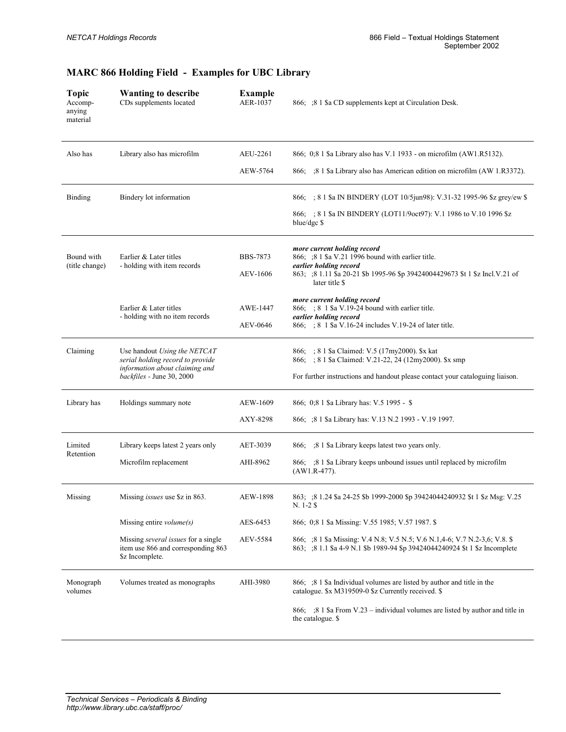| <b>Topic</b><br>Accomp-<br>anying<br>material | <b>Wanting to describe</b><br>CDs supplements located                                              | <b>Example</b><br>AER-1037 | 866; ;8 1 \$ a CD supplements kept at Circulation Desk.                                                                                                       |
|-----------------------------------------------|----------------------------------------------------------------------------------------------------|----------------------------|---------------------------------------------------------------------------------------------------------------------------------------------------------------|
| Also has                                      | Library also has microfilm                                                                         | AEU-2261                   | 866; 0;8 1 \$ Library also has V.1 1933 - on microfilm (AW1.R5132).                                                                                           |
|                                               |                                                                                                    | AEW-5764                   | 866; ;8 1 \$ a Library also has American edition on microfilm (AW 1.R3372).                                                                                   |
| Binding                                       | Bindery lot information                                                                            |                            | 866; ; 8 1 \$a IN BINDERY (LOT 10/5jun98): V.31-32 1995-96 \$z grey/ew \$                                                                                     |
|                                               |                                                                                                    |                            | 866; ; 8 1 \$a IN BINDERY (LOT11/9 oct97): V.1 1986 to V.10 1996 \$z<br>blue/dgc \$                                                                           |
| Bound with<br>(title change)                  | Earlier & Later titles<br>- holding with item records                                              | <b>BBS-7873</b>            | more current holding record<br>866; ;8 1 \$a V.21 1996 bound with earlier title.<br>earlier holding record                                                    |
|                                               |                                                                                                    | <b>AEV-1606</b>            | 863; ;8 1.11 \$a 20-21 \$b 1995-96 \$p 39424004429673 \$t 1 \$z Incl. V.21 of<br>later title \$                                                               |
|                                               | Earlier & Later titles                                                                             | AWE-1447                   | more current holding record<br>866; ; 8 1 \$ a V.19-24 bound with earlier title.                                                                              |
|                                               | - holding with no item records                                                                     | AEV-0646                   | earlier holding record<br>866; ; 8 1 \$ a V.16-24 includes V.19-24 of later title.                                                                            |
| Claiming                                      | Use handout Using the NETCAT<br>serial holding record to provide<br>information about claiming and |                            | 866; ; 8 1 \$ a Claimed: V.5 (17my 2000). \$ x kat<br>866; ; 8 1 \$a Claimed: V.21-22, 24 (12my2000). \$x smp                                                 |
|                                               | backfiles - June 30, 2000                                                                          |                            | For further instructions and handout please contact your cataloguing liaison.                                                                                 |
| Library has                                   | Holdings summary note                                                                              | AEW-1609                   | 866; 0;8 1 \$a Library has: V.5 1995 - \$                                                                                                                     |
|                                               |                                                                                                    | AXY-8298                   | 866; ;8 1 \$ a Library has: V.13 N.2 1993 - V.19 1997.                                                                                                        |
| Limited<br>Retention                          | Library keeps latest 2 years only                                                                  | AET-3039                   | 866; :8 1 \$ Library keeps latest two years only.                                                                                                             |
|                                               | Microfilm replacement                                                                              | AHI-8962                   | 866; 3 Sa Library keeps unbound issues until replaced by microfilm<br>$(AW1.R-477)$ .                                                                         |
| Missing                                       | Missing <i>issues</i> use \$ <i>z</i> in 863.                                                      | AEW-1898                   | 863; ;8 1.24 \$a 24-25 \$b 1999-2000 \$p 39424044240932 \$t 1 \$z Msg: V.25<br>$N. 1-2$ \$                                                                    |
|                                               | Missing entire $volume(s)$                                                                         | AES-6453                   | 866; 0;8 1 \$ a Missing: V.55 1985; V.57 1987. \$                                                                                                             |
|                                               | Missing several issues for a single<br>item use 866 and corresponding 863<br>\$z Incomplete.       | AEV-5584                   | 866; 3 1 \$ a Missing: V.4 N.8; V.5 N.5; V.6 N.1, 4-6; V.7 N.2-3, 6; V.8. \$<br>863; :8 1.1 \$ 4-9 N.1 \$ b 1989-94 \$ p 39424044240924 \$t 1 \$ z Incomplete |
| Monograph<br>volumes                          | Volumes treated as monographs                                                                      | AHI-3980                   | 866; ;8 1 \$ a Individual volumes are listed by author and title in the<br>catalogue. \$x M319509-0 \$z Currently received. \$                                |
|                                               |                                                                                                    |                            | 866; ;8 1 \$a From V.23 – individual volumes are listed by author and title in<br>the catalogue. \$                                                           |

## **MARC 866 Holding Field - Examples for UBC Library**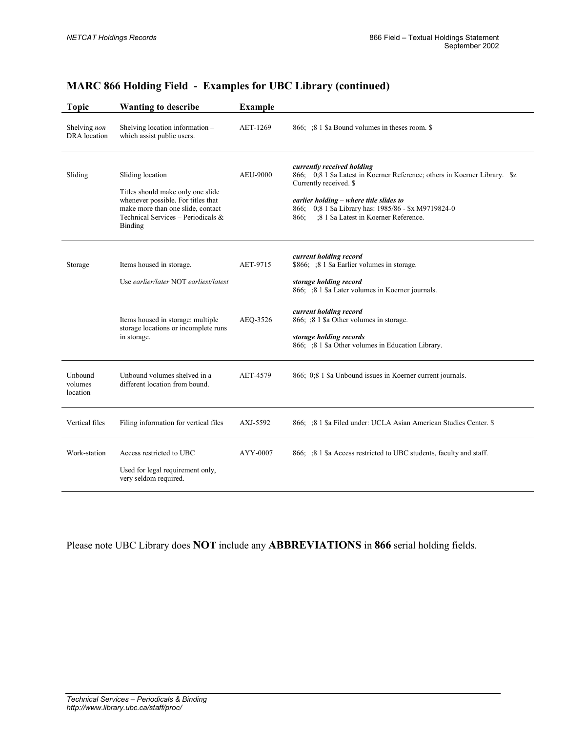| <b>Topic</b>                   | <b>Wanting to describe</b>                                                                                                                                                           | <b>Example</b>  |                                                                                                                                                                                                                                                                                        |
|--------------------------------|--------------------------------------------------------------------------------------------------------------------------------------------------------------------------------------|-----------------|----------------------------------------------------------------------------------------------------------------------------------------------------------------------------------------------------------------------------------------------------------------------------------------|
| Shelving non<br>DRA location   | Shelving location information -<br>which assist public users.                                                                                                                        | AET-1269        | 866; ;8 1 \$ a Bound volumes in theses room. \$                                                                                                                                                                                                                                        |
| Sliding                        | Sliding location<br>Titles should make only one slide<br>whenever possible. For titles that<br>make more than one slide, contact<br>Technical Services - Periodicals $\&$<br>Binding | <b>AEU-9000</b> | currently received holding<br>866; 0,8 1 \$a Latest in Koerner Reference; others in Koerner Library. \$z<br>Currently received. \$<br>earlier holding - where title slides to<br>866; 0;8 1 \$a Library has: 1985/86 - \$x M9719824-0<br>;8 1 \$a Latest in Koerner Reference.<br>866: |
| Storage                        | Items housed in storage.<br>Use earlier/later NOT earliest/latest                                                                                                                    | AET-9715        | current holding record<br>\$866; ;8 1 \$a Earlier volumes in storage.<br>storage holding record<br>866; :8 1 \$ a Later volumes in Koerner journals.                                                                                                                                   |
|                                | Items housed in storage: multiple<br>storage locations or incomplete runs<br>in storage.                                                                                             | AEQ-3526        | current holding record<br>866; ;8 1 \$a Other volumes in storage.<br>storage holding records<br>866; ;8 1 \$a Other volumes in Education Library.                                                                                                                                      |
| Unbound<br>volumes<br>location | Unbound volumes shelved in a<br>different location from bound.                                                                                                                       | AET-4579        | 866; 0;8 1 \$a Unbound issues in Koerner current journals.                                                                                                                                                                                                                             |
| Vertical files                 | Filing information for vertical files                                                                                                                                                | AXJ-5592        | 866; : 8 1 \$ a Filed under: UCLA Asian American Studies Center. \$                                                                                                                                                                                                                    |
| Work-station                   | Access restricted to UBC<br>Used for legal requirement only,<br>very seldom required.                                                                                                | AYY-0007        | 866; ;8 1 \$ a Access restricted to UBC students, faculty and staff.                                                                                                                                                                                                                   |

Please note UBC Library does **NOT** include any **ABBREVIATIONS** in **866** serial holding fields.